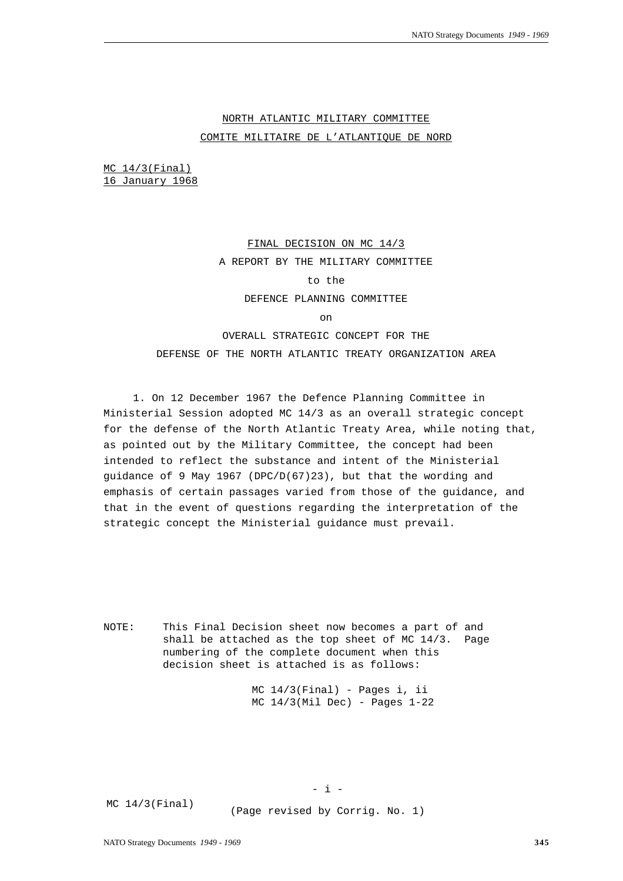# NORTH ATLANTIC MILITARY COMMITTEE COMITE MILITAIRE DE L'ATLANTIQUE DE NORD

MC 14/3(Final) 16 January 1968

# FINAL DECISION ON MC 14/3 A REPORT BY THE MILITARY COMMITTEE to the DEFENCE PLANNING COMMITTEE on

OVERALL STRATEGIC CONCEPT FOR THE DEFENSE OF THE NORTH ATLANTIC TREATY ORGANIZATION AREA

1. On 12 December 1967 the Defence Planning Committee in Ministerial Session adopted MC 14/3 as an overall strategic concept for the defense of the North Atlantic Treaty Area, while noting that, as pointed out by the Military Committee, the concept had been intended to reflect the substance and intent of the Ministerial guidance of 9 May 1967 (DPC/D(67)23), but that the wording and emphasis of certain passages varied from those of the guidance, and that in the event of questions regarding the interpretation of the strategic concept the Ministerial guidance must prevail.

NOTE: This Final Decision sheet now becomes a part of and shall be attached as the top sheet of MC  $14/3$ . Page numbering of the complete document when this decision sheet is attached is as follows:

> MC 14/3(Final) - Pages i, ii  $MC$   $14/3$ (Mil Dec) - Pages  $1-22$

MC 14/3(Final)

(Page revised by Corrig. No. 1)

 $-$  i  $-$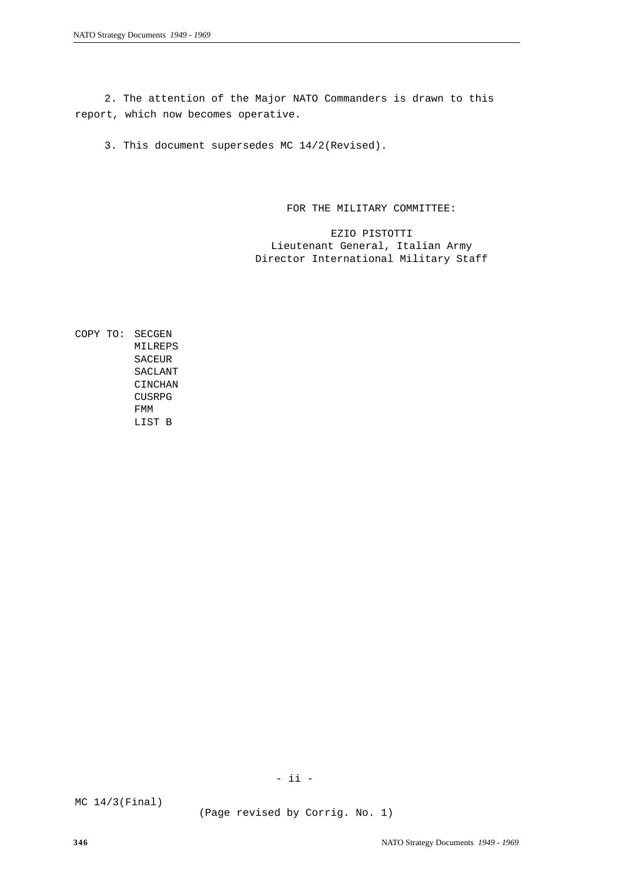2. The attention of the Major NATO Commanders is drawn to this report, which now becomes operative.

3. This document supersedes MC 14/2(Revised).

FOR THE MILITARY COMMITTEE:

EZIO PISTOTTI Lieutenant General, Italian Army Director International Military Staff

COPY TO: SECGEN MILREPS SACEUR SACLANT CINCHAN **CUSRPG** FMM LIST B

- ii -

MC 14/3(Final)

(Page revised by Corrig. No. 1)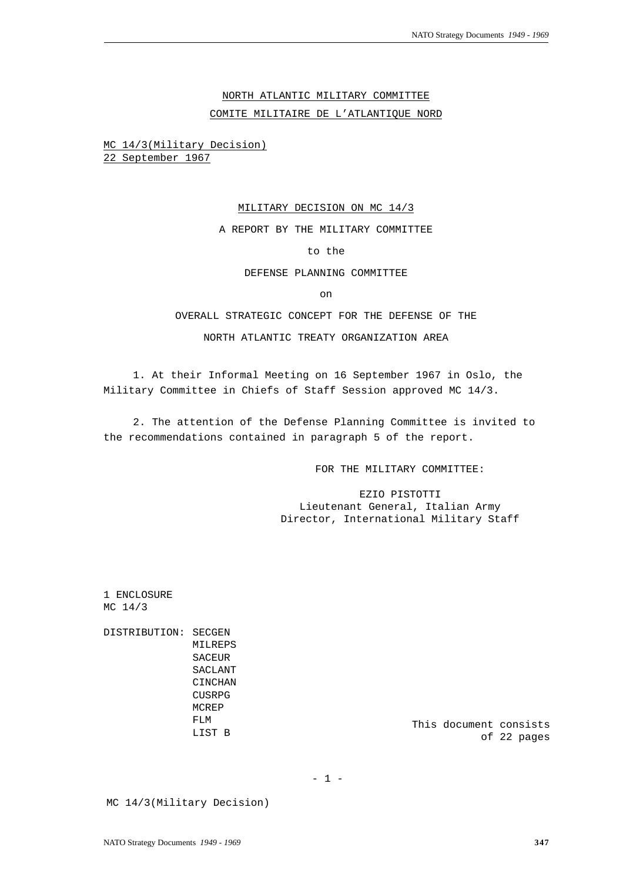# NORTH ATLANTIC MILITARY COMMITTEE

COMITE MILITAIRE DE L'ATLANTIQUE NORD

MC 14/3(Military Decision) 22 September 1967

#### MILITARY DECISION ON MC 14/3

A REPORT BY THE MILITARY COMMITTEE

# to the

#### DEFENSE PLANNING COMMITTEE

on

# OVERALL STRATEGIC CONCEPT FOR THE DEFENSE OF THE

# NORTH ATLANTIC TREATY ORGANIZATION AREA

1. At their Informal Meeting on 16 September 1967 in Oslo, the Military Committee in Chiefs of Staff Session approved MC 14/3.

2. The attention of the Defense Planning Committee is invited to the recommendations contained in paragraph 5 of the report.

FOR THE MILITARY COMMITTEE:

EZIO PISTOTTI Lieutenant General, Italian Army Director, International Military Staff

1 ENCLOSURE MC 14/3

DISTRIBUTION: SECGEN MILREPS SACEUR SACLANT CINCHAN CUSRPG MCREP FLM LIST B

This document consists of 22 pages

 $- 1 -$ 

MC 14/3(Military Decision)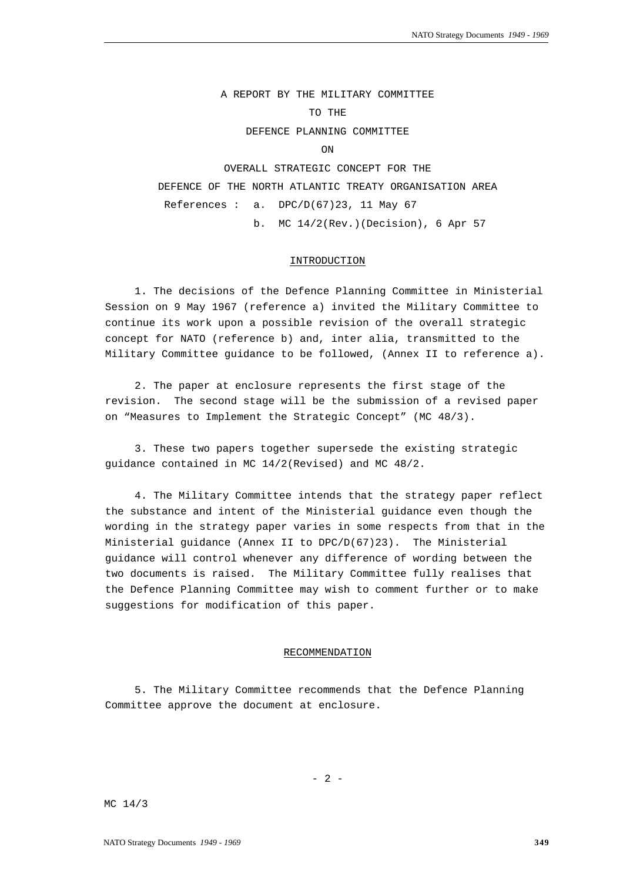A REPORT BY THE MILITARY COMMITTEE TO THE DEFENCE PLANNING COMMITTEE ON OVERALL STRATEGIC CONCEPT FOR THE DEFENCE OF THE NORTH ATLANTIC TREATY ORGANISATION AREA References :  $a.$  DPC/D(67)23, 11 May 67 b. MC 14/2(Rev.)(Decision), 6 Apr 57

### INTRODUCTION

1. The decisions of the Defence Planning Committee in Ministerial Session on 9 May 1967 (reference a) invited the Military Committee to continue its work upon a possible revision of the overall strategic concept for NATO (reference b) and, inter alia, transmitted to the Military Committee guidance to be followed, (Annex II to reference a).

2. The paper at enclosure represents the first stage of the revision. The second stage will be the submission of a revised paper on "Measures to Implement the Strategic Concept" (MC 48/3).

3. These two papers together supersede the existing strategic guidance contained in MC 14/2(Revised) and MC 48/2.

4. The Military Committee intends that the strategy paper reflect the substance and intent of the Ministerial guidance even though the wording in the strategy paper varies in some respects from that in the Ministerial guidance (Annex II to  $DPC/D(67)23$ ). The Ministerial guidance will control whenever any difference of wording between the two documents is raised. The Military Committee fully realises that the Defence Planning Committee may wish to comment further or to make suggestions for modification of this paper.

#### RECOMMENDATION

5. The Military Committee recommends that the Defence Planning Committee approve the document at enclosure.

MC 14/3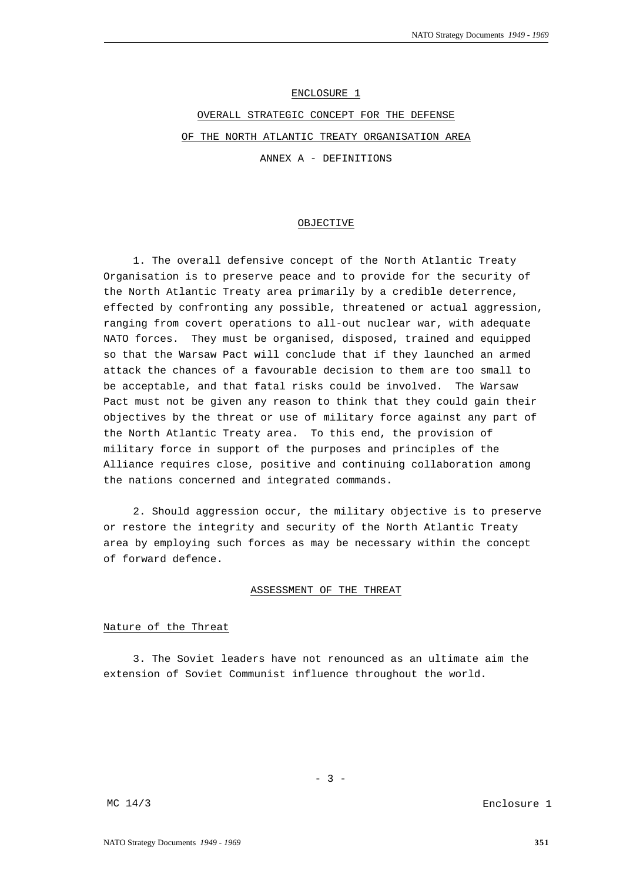ENCLOSURE 1

OVERALL STRATEGIC CONCEPT FOR THE DEFENSE OF THE NORTH ATLANTIC TREATY ORGANISATION AREA ANNEX A - DEFINITIONS

OBJECTIVE

1. The overall defensive concept of the North Atlantic Treaty Organisation is to preserve peace and to provide for the security of the North Atlantic Treaty area primarily by a credible deterrence, effected by confronting any possible, threatened or actual aggression, ranging from covert operations to all-out nuclear war, with adequate NATO forces. They must be organised, disposed, trained and equipped so that the Warsaw Pact will conclude that if they launched an armed attack the chances of a favourable decision to them are too small to be acceptable, and that fatal risks could be involved. The Warsaw Pact must not be given any reason to think that they could gain their objectives by the threat or use of military force against any part of the North Atlantic Treaty area. To this end, the provision of military force in support of the purposes and principles of the Alliance requires close, positive and continuing collaboration among the nations concerned and integrated commands.

2. Should aggression occur, the military objective is to preserve or restore the integrity and security of the North Atlantic Treaty area by employing such forces as may be necessary within the concept of forward defence.

# ASSESSMENT OF THE THREAT

# Nature of the Threat

3. The Soviet leaders have not renounced as an ultimate aim the extension of Soviet Communist influence throughout the world.

Enclosure 1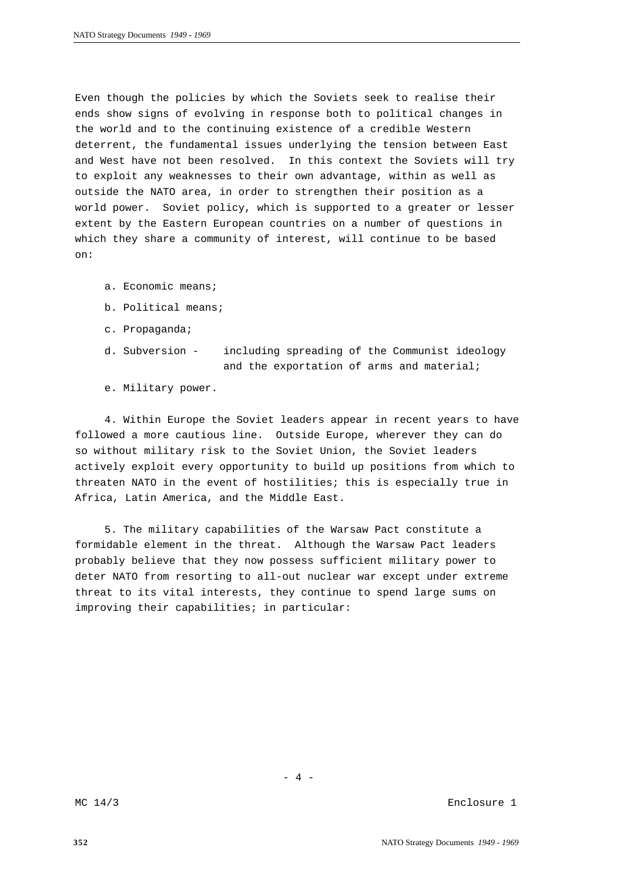Even though the policies by which the Soviets seek to realise their ends show signs of evolving in response both to political changes in the world and to the continuing existence of a credible Western deterrent, the fundamental issues underlying the tension between East and West have not been resolved. In this context the Soviets will try to exploit any weaknesses to their own advantage, within as well as outside the NATO area, in order to strengthen their position as a world power. Soviet policy, which is supported to a greater or lesser extent by the Eastern European countries on a number of questions in which they share a community of interest, will continue to be based on:

- a. Economic means;
- b. Political means;
- c. Propaganda;
- d. Subversion including spreading of the Communist ideology and the exportation of arms and material;
- e. Military power.

4. Within Europe the Soviet leaders appear in recent years to have followed a more cautious line. Outside Europe, wherever they can do so without military risk to the Soviet Union, the Soviet leaders actively exploit every opportunity to build up positions from which to threaten NATO in the event of hostilities; this is especially true in Africa, Latin America, and the Middle East.

5. The military capabilities of the Warsaw Pact constitute a formidable element in the threat. Although the Warsaw Pact leaders probably believe that they now possess sufficient military power to deter NATO from resorting to all-out nuclear war except under extreme threat to its vital interests, they continue to spend large sums on improving their capabilities; in particular:

MC 14/3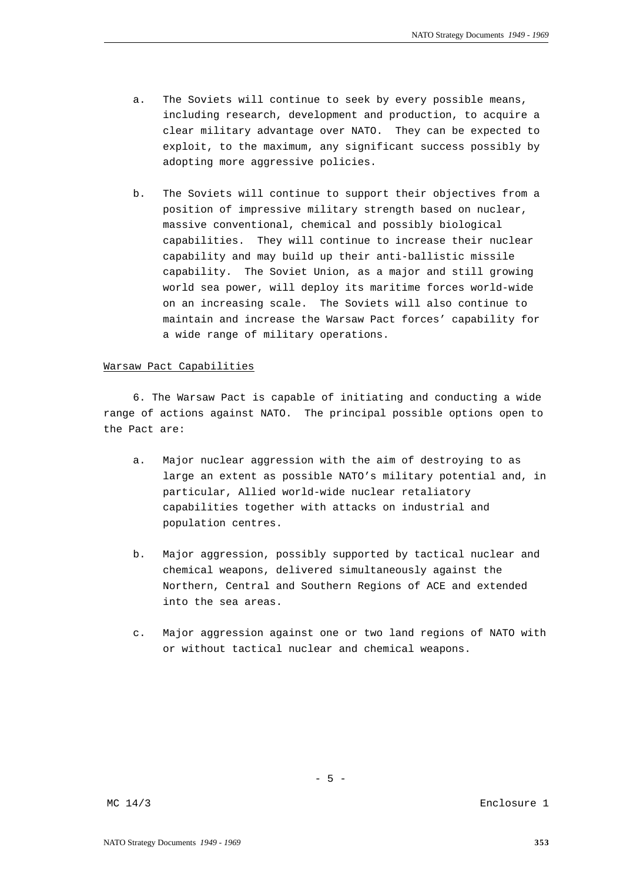- a. The Soviets will continue to seek by every possible means, including research, development and production, to acquire a clear military advantage over NATO. They can be expected to exploit, to the maximum, any significant success possibly by adopting more aggressive policies.
- b. The Soviets will continue to support their objectives from a position of impressive military strength based on nuclear, massive conventional, chemical and possibly biological capabilities. They will continue to increase their nuclear capability and may build up their anti-ballistic missile capability. The Soviet Union, as a major and still growing world sea power, will deploy its maritime forces world-wide on an increasing scale. The Soviets will also continue to maintain and increase the Warsaw Pact forces' capability for a wide range of military operations.

#### Warsaw Pact Capabilities

6. The Warsaw Pact is capable of initiating and conducting a wide range of actions against NATO. The principal possible options open to the Pact are:

- a. Major nuclear aggression with the aim of destroying to as large an extent as possible NATO's military potential and, in particular, Allied world-wide nuclear retaliatory capabilities together with attacks on industrial and population centres.
- b. Major aggression, possibly supported by tactical nuclear and chemical weapons, delivered simultaneously against the Northern, Central and Southern Regions of ACE and extended into the sea areas.
- c. Major aggression against one or two land regions of NATO with or without tactical nuclear and chemical weapons.

 $- 5 -$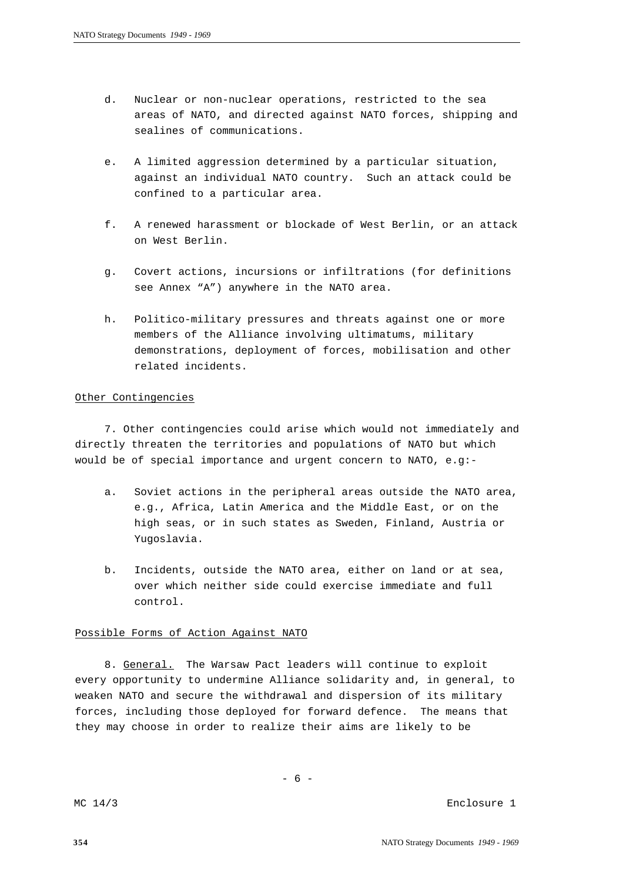- d. Nuclear or non-nuclear operations, restricted to the sea areas of NATO, and directed against NATO forces, shipping and sealines of communications.
- e. A limited aggression determined by a particular situation, against an individual NATO country. Such an attack could be confined to a particular area.
- f. A renewed harassment or blockade of West Berlin, or an attack on West Berlin.
- g. Covert actions, incursions or infiltrations (for definitions see Annex "A") anywhere in the NATO area.
- h. Politico-military pressures and threats against one or more members of the Alliance involving ultimatums, military demonstrations, deployment of forces, mobilisation and other related incidents.

# Other Contingencies

7. Other contingencies could arise which would not immediately and directly threaten the territories and populations of NATO but which would be of special importance and urgent concern to NATO, e.g:-

- a. Soviet actions in the peripheral areas outside the NATO area, e.g., Africa, Latin America and the Middle East, or on the high seas, or in such states as Sweden, Finland, Austria or Yugoslavia.
- b. Incidents, outside the NATO area, either on land or at sea, over which neither side could exercise immediate and full control.

# Possible Forms of Action Against NATO

8. General. The Warsaw Pact leaders will continue to exploit every opportunity to undermine Alliance solidarity and, in general, to weaken NATO and secure the withdrawal and dispersion of its military forces, including those deployed for forward defence. The means that they may choose in order to realize their aims are likely to be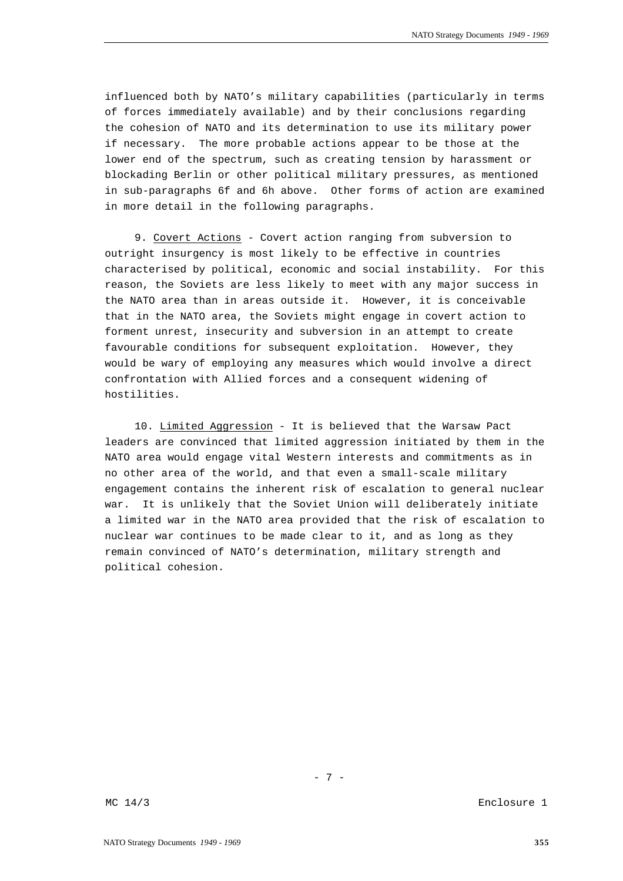influenced both by NATO's military capabilities (particularly in terms of forces immediately available) and by their conclusions regarding the cohesion of NATO and its determination to use its military power if necessary. The more probable actions appear to be those at the lower end of the spectrum, such as creating tension by harassment or blockading Berlin or other political military pressures, as mentioned in sub-paragraphs 6f and 6h above. Other forms of action are examined in more detail in the following paragraphs.

9. Covert Actions - Covert action ranging from subversion to outright insurgency is most likely to be effective in countries characterised by political, economic and social instability. For this reason, the Soviets are less likely to meet with any major success in the NATO area than in areas outside it. However, it is conceivable that in the NATO area, the Soviets might engage in covert action to forment unrest, insecurity and subversion in an attempt to create favourable conditions for subsequent exploitation. However, they would be wary of employing any measures which would involve a direct confrontation with Allied forces and a consequent widening of hostilities.

10. Limited Aggression - It is believed that the Warsaw Pact leaders are convinced that limited aggression initiated by them in the NATO area would engage vital Western interests and commitments as in no other area of the world, and that even a small-scale military engagement contains the inherent risk of escalation to general nuclear war. It is unlikely that the Soviet Union will deliberately initiate a limited war in the NATO area provided that the risk of escalation to nuclear war continues to be made clear to it, and as long as they remain convinced of NATO's determination, military strength and political cohesion.

- 7 -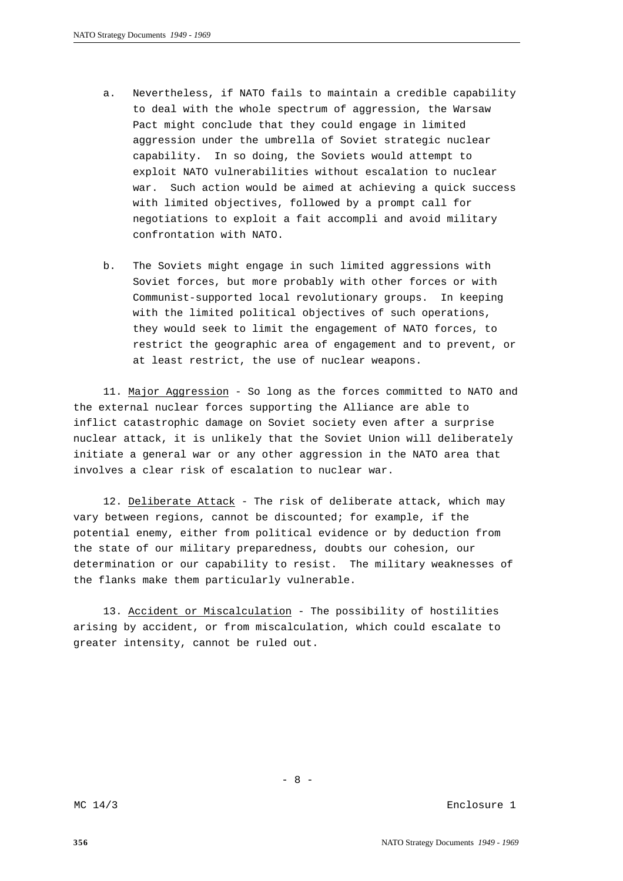- a. Nevertheless, if NATO fails to maintain a credible capability to deal with the whole spectrum of aggression, the Warsaw Pact might conclude that they could engage in limited aggression under the umbrella of Soviet strategic nuclear capability. In so doing, the Soviets would attempt to exploit NATO vulnerabilities without escalation to nuclear war. Such action would be aimed at achieving a quick success with limited objectives, followed by a prompt call for negotiations to exploit a fait accompli and avoid military confrontation with NATO.
- b. The Soviets might engage in such limited aggressions with Soviet forces, but more probably with other forces or with Communist-supported local revolutionary groups. In keeping with the limited political objectives of such operations, they would seek to limit the engagement of NATO forces, to restrict the geographic area of engagement and to prevent, or at least restrict, the use of nuclear weapons.

11. Major Aggression - So long as the forces committed to NATO and the external nuclear forces supporting the Alliance are able to inflict catastrophic damage on Soviet society even after a surprise nuclear attack, it is unlikely that the Soviet Union will deliberately initiate a general war or any other aggression in the NATO area that involves a clear risk of escalation to nuclear war.

12. Deliberate Attack - The risk of deliberate attack, which may vary between regions, cannot be discounted; for example, if the potential enemy, either from political evidence or by deduction from the state of our military preparedness, doubts our cohesion, our determination or our capability to resist. The military weaknesses of the flanks make them particularly vulnerable.

13. Accident or Miscalculation - The possibility of hostilities arising by accident, or from miscalculation, which could escalate to greater intensity, cannot be ruled out.

- 8 -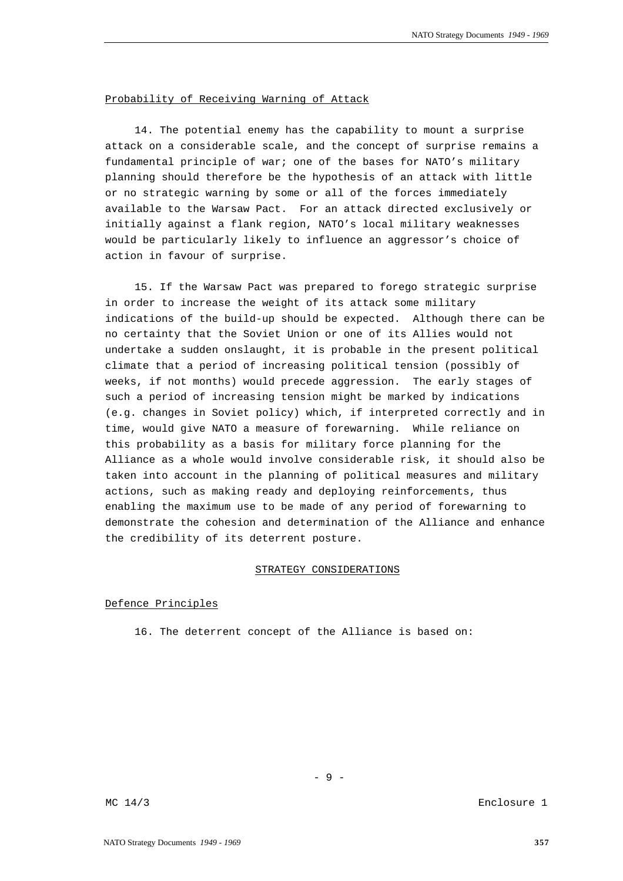# Probability of Receiving Warning of Attack

14. The potential enemy has the capability to mount a surprise attack on a considerable scale, and the concept of surprise remains a fundamental principle of war; one of the bases for NATO's military planning should therefore be the hypothesis of an attack with little or no strategic warning by some or all of the forces immediately available to the Warsaw Pact. For an attack directed exclusively or initially against a flank region, NATO's local military weaknesses would be particularly likely to influence an aggressor's choice of action in favour of surprise.

15. If the Warsaw Pact was prepared to forego strategic surprise in order to increase the weight of its attack some military indications of the build-up should be expected. Although there can be no certainty that the Soviet Union or one of its Allies would not undertake a sudden onslaught, it is probable in the present political climate that a period of increasing political tension (possibly of weeks, if not months) would precede aggression. The early stages of such a period of increasing tension might be marked by indications (e.g. changes in Soviet policy) which, if interpreted correctly and in time, would give NATO a measure of forewarning. While reliance on this probability as a basis for military force planning for the Alliance as a whole would involve considerable risk, it should also be taken into account in the planning of political measures and military actions, such as making ready and deploying reinforcements, thus enabling the maximum use to be made of any period of forewarning to demonstrate the cohesion and determination of the Alliance and enhance the credibility of its deterrent posture.

# STRATEGY CONSIDERATIONS

- 9 -

### Defence Principles

16. The deterrent concept of the Alliance is based on: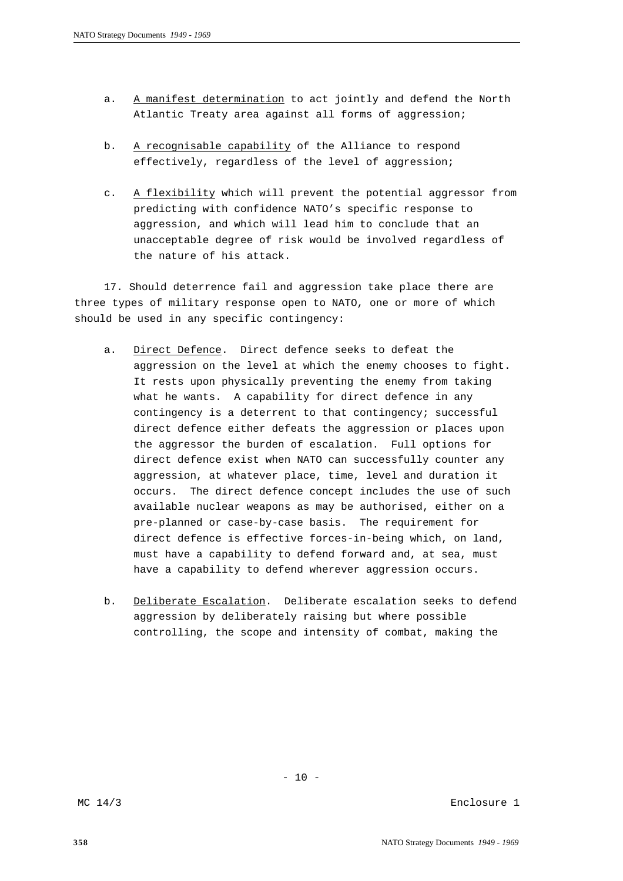- a. A manifest determination to act jointly and defend the North Atlantic Treaty area against all forms of aggression;
- b. A recognisable capability of the Alliance to respond effectively, regardless of the level of aggression;
- c. A flexibility which will prevent the potential aggressor from predicting with confidence NATO's specific response to aggression, and which will lead him to conclude that an unacceptable degree of risk would be involved regardless of the nature of his attack.

17. Should deterrence fail and aggression take place there are three types of military response open to NATO, one or more of which should be used in any specific contingency:

- a. Direct Defence. Direct defence seeks to defeat the aggression on the level at which the enemy chooses to fight. It rests upon physically preventing the enemy from taking what he wants. A capability for direct defence in any contingency is a deterrent to that contingency; successful direct defence either defeats the aggression or places upon the aggressor the burden of escalation. Full options for direct defence exist when NATO can successfully counter any aggression, at whatever place, time, level and duration it occurs. The direct defence concept includes the use of such available nuclear weapons as may be authorised, either on a pre-planned or case-by-case basis. The requirement for direct defence is effective forces-in-being which, on land, must have a capability to defend forward and, at sea, must have a capability to defend wherever aggression occurs.
- b. Deliberate Escalation. Deliberate escalation seeks to defend aggression by deliberately raising but where possible controlling, the scope and intensity of combat, making the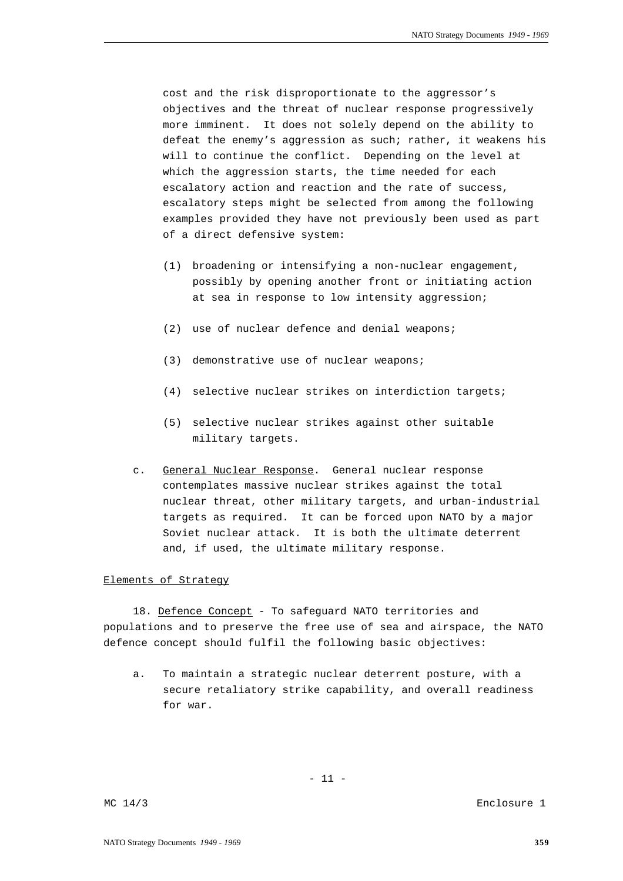cost and the risk disproportionate to the aggressor's objectives and the threat of nuclear response progressively more imminent. It does not solely depend on the ability to defeat the enemy's aggression as such; rather, it weakens his will to continue the conflict. Depending on the level at which the aggression starts, the time needed for each escalatory action and reaction and the rate of success, escalatory steps might be selected from among the following examples provided they have not previously been used as part of a direct defensive system:

- (1) broadening or intensifying a non-nuclear engagement, possibly by opening another front or initiating action at sea in response to low intensity aggression;
- (2) use of nuclear defence and denial weapons;
- (3) demonstrative use of nuclear weapons;
- (4) selective nuclear strikes on interdiction targets;
- (5) selective nuclear strikes against other suitable military targets.
- c. General Nuclear Response. General nuclear response contemplates massive nuclear strikes against the total nuclear threat, other military targets, and urban-industrial targets as required. It can be forced upon NATO by a major Soviet nuclear attack. It is both the ultimate deterrent and, if used, the ultimate military response.

# Elements of Strategy

18. Defence Concept - To safeguard NATO territories and populations and to preserve the free use of sea and airspace, the NATO defence concept should fulfil the following basic objectives:

a. To maintain a strategic nuclear deterrent posture, with a secure retaliatory strike capability, and overall readiness for war.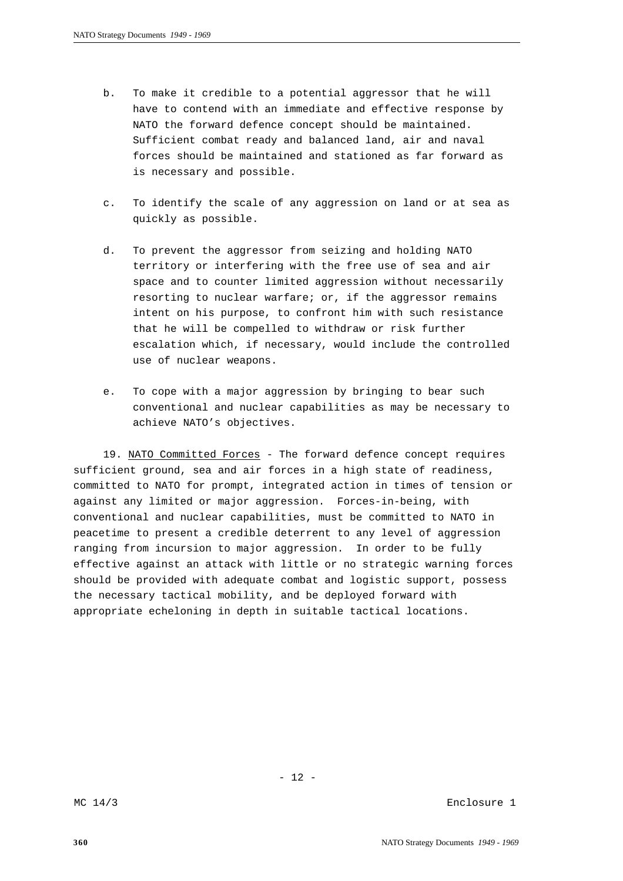- b. To make it credible to a potential aggressor that he will have to contend with an immediate and effective response by NATO the forward defence concept should be maintained. Sufficient combat ready and balanced land, air and naval forces should be maintained and stationed as far forward as is necessary and possible.
- c. To identify the scale of any aggression on land or at sea as quickly as possible.
- d. To prevent the aggressor from seizing and holding NATO territory or interfering with the free use of sea and air space and to counter limited aggression without necessarily resorting to nuclear warfare; or, if the aggressor remains intent on his purpose, to confront him with such resistance that he will be compelled to withdraw or risk further escalation which, if necessary, would include the controlled use of nuclear weapons.
- e. To cope with a major aggression by bringing to bear such conventional and nuclear capabilities as may be necessary to achieve NATO's objectives.

19. NATO Committed Forces - The forward defence concept requires sufficient ground, sea and air forces in a high state of readiness, committed to NATO for prompt, integrated action in times of tension or against any limited or major aggression. Forces-in-being, with conventional and nuclear capabilities, must be committed to NATO in peacetime to present a credible deterrent to any level of aggression ranging from incursion to major aggression. In order to be fully effective against an attack with little or no strategic warning forces should be provided with adequate combat and logistic support, possess the necessary tactical mobility, and be deployed forward with appropriate echeloning in depth in suitable tactical locations.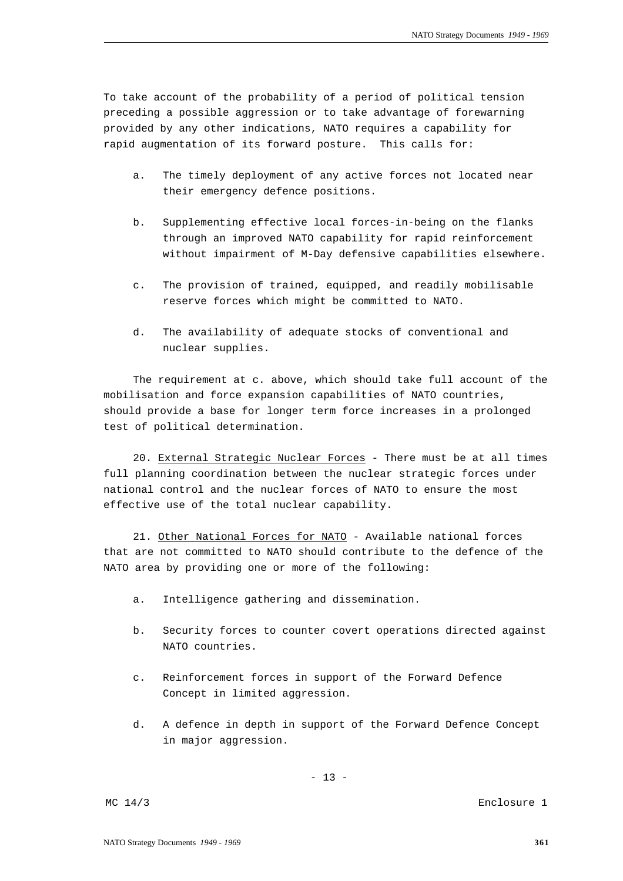To take account of the probability of a period of political tension preceding a possible aggression or to take advantage of forewarning provided by any other indications, NATO requires a capability for rapid augmentation of its forward posture. This calls for:

- a. The timely deployment of any active forces not located near their emergency defence positions.
- b. Supplementing effective local forces-in-being on the flanks through an improved NATO capability for rapid reinforcement without impairment of M-Day defensive capabilities elsewhere.
- c. The provision of trained, equipped, and readily mobilisable reserve forces which might be committed to NATO.
- d. The availability of adequate stocks of conventional and nuclear supplies.

The requirement at c. above, which should take full account of the mobilisation and force expansion capabilities of NATO countries, should provide a base for longer term force increases in a prolonged test of political determination.

20. External Strategic Nuclear Forces - There must be at all times full planning coordination between the nuclear strategic forces under national control and the nuclear forces of NATO to ensure the most effective use of the total nuclear capability.

21. Other National Forces for NATO - Available national forces that are not committed to NATO should contribute to the defence of the NATO area by providing one or more of the following:

- a. Intelligence gathering and dissemination.
- b. Security forces to counter covert operations directed against NATO countries.
- c. Reinforcement forces in support of the Forward Defence Concept in limited aggression.
- d. A defence in depth in support of the Forward Defence Concept in major aggression.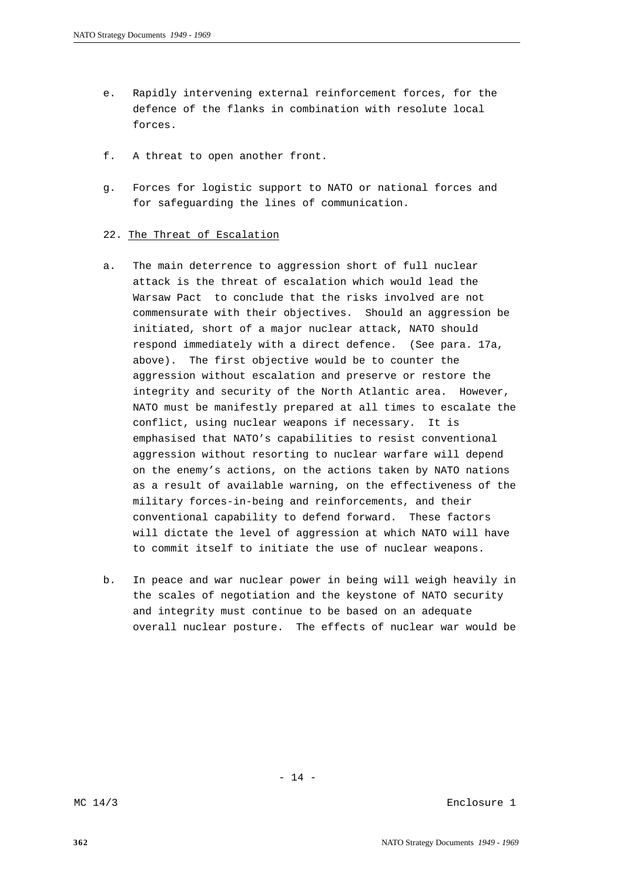- e. Rapidly intervening external reinforcement forces, for the defence of the flanks in combination with resolute local forces
- f. A threat to open another front.
- g. Forces for logistic support to NATO or national forces and for safeguarding the lines of communication.

#### 22. The Threat of Escalation

- a. The main deterrence to aggression short of full nuclear attack is the threat of escalation which would lead the Warsaw Pact to conclude that the risks involved are not commensurate with their objectives. Should an aggression be initiated, short of a major nuclear attack, NATO should respond immediately with a direct defence. (See para. 17a, above). The first objective would be to counter the aggression without escalation and preserve or restore the integrity and security of the North Atlantic area. However, NATO must be manifestly prepared at all times to escalate the conflict, using nuclear weapons if necessary. It is emphasised that NATO's capabilities to resist conventional aggression without resorting to nuclear warfare will depend on the enemy's actions, on the actions taken by NATO nations as a result of available warning, on the effectiveness of the military forces-in-being and reinforcements, and their conventional capability to defend forward. These factors will dictate the level of aggression at which NATO will have to commit itself to initiate the use of nuclear weapons.
- b. In peace and war nuclear power in being will weigh heavily in the scales of negotiation and the keystone of NATO security and integrity must continue to be based on an adequate overall nuclear posture. The effects of nuclear war would be

- 14 -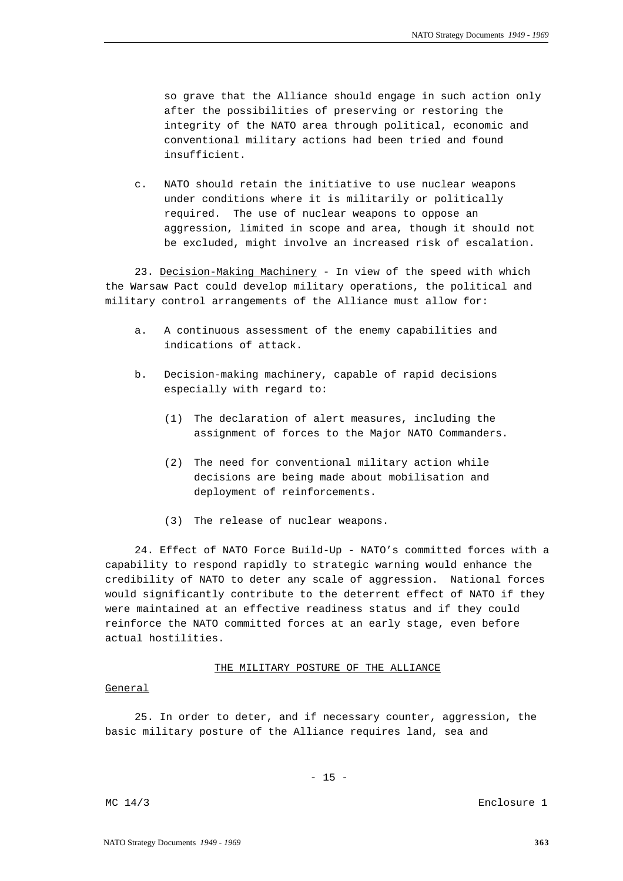so grave that the Alliance should engage in such action only after the possibilities of preserving or restoring the integrity of the NATO area through political, economic and conventional military actions had been tried and found insufficient.

c. NATO should retain the initiative to use nuclear weapons under conditions where it is militarily or politically required. The use of nuclear weapons to oppose an aggression, limited in scope and area, though it should not be excluded, might involve an increased risk of escalation.

23. Decision-Making Machinery - In view of the speed with which the Warsaw Pact could develop military operations, the political and military control arrangements of the Alliance must allow for:

- a. A continuous assessment of the enemy capabilities and indications of attack.
- b. Decision-making machinery, capable of rapid decisions especially with regard to:
	- (1) The declaration of alert measures, including the assignment of forces to the Major NATO Commanders.
	- (2) The need for conventional military action while decisions are being made about mobilisation and deployment of reinforcements.
	- (3) The release of nuclear weapons.

24. Effect of NATO Force Build-Up - NATO's committed forces with a capability to respond rapidly to strategic warning would enhance the credibility of NATO to deter any scale of aggression. National forces would significantly contribute to the deterrent effect of NATO if they were maintained at an effective readiness status and if they could reinforce the NATO committed forces at an early stage, even before actual hostilities.

# THE MILITARY POSTURE OF THE ALLIANCE

#### General

25. In order to deter, and if necessary counter, aggression, the basic military posture of the Alliance requires land, sea and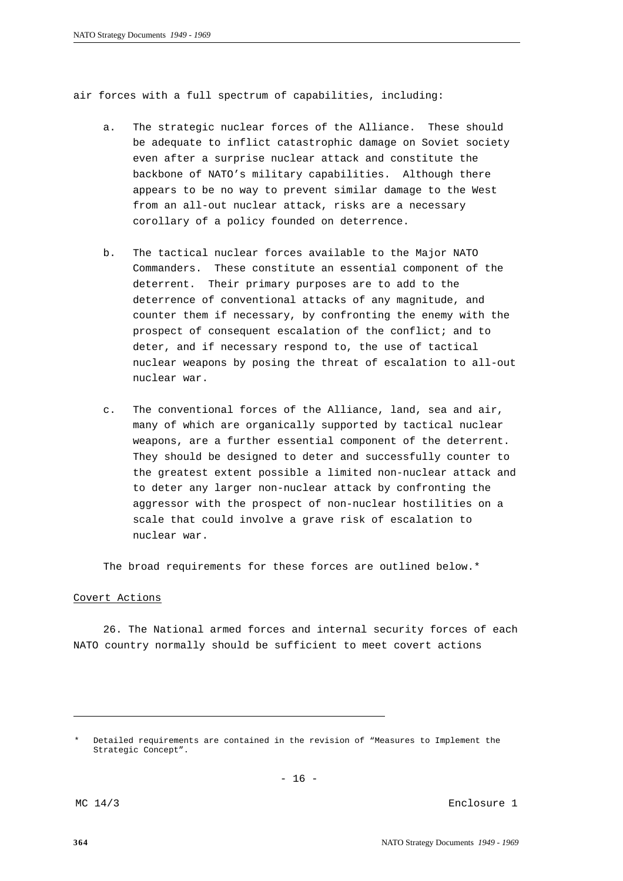air forces with a full spectrum of capabilities, including:

- a. The strategic nuclear forces of the Alliance. These should be adequate to inflict catastrophic damage on Soviet society even after a surprise nuclear attack and constitute the backbone of NATO's military capabilities. Although there appears to be no way to prevent similar damage to the West from an all-out nuclear attack, risks are a necessary corollary of a policy founded on deterrence.
- b. The tactical nuclear forces available to the Major NATO Commanders. These constitute an essential component of the deterrent. Their primary purposes are to add to the deterrence of conventional attacks of any magnitude, and counter them if necessary, by confronting the enemy with the prospect of consequent escalation of the conflict; and to deter, and if necessary respond to, the use of tactical nuclear weapons by posing the threat of escalation to all-out nuclear war.
- c. The conventional forces of the Alliance, land, sea and air, many of which are organically supported by tactical nuclear weapons, are a further essential component of the deterrent. They should be designed to deter and successfully counter to the greatest extent possible a limited non-nuclear attack and to deter any larger non-nuclear attack by confronting the aggressor with the prospect of non-nuclear hostilities on a scale that could involve a grave risk of escalation to nuclear war.

The broad requirements for these forces are outlined below.\*

#### Covert Actions

26. The National armed forces and internal security forces of each NATO country normally should be sufficient to meet covert actions

Detailed requirements are contained in the revision of "Measures to Implement the Strategic Concept".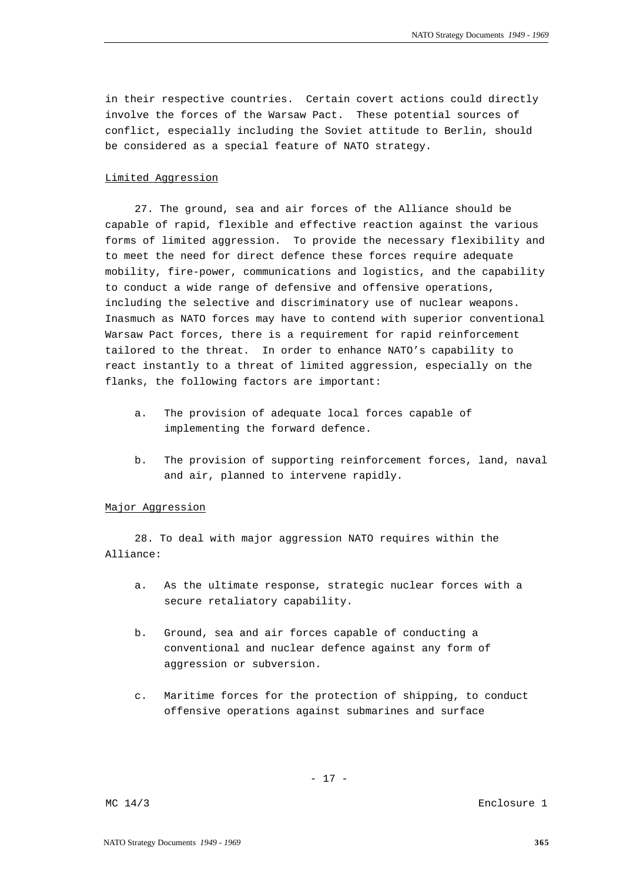in their respective countries. Certain covert actions could directly involve the forces of the Warsaw Pact. These potential sources of conflict, especially including the Soviet attitude to Berlin, should be considered as a special feature of NATO strategy.

# Limited Aggression

27. The ground, sea and air forces of the Alliance should be capable of rapid, flexible and effective reaction against the various forms of limited aggression. To provide the necessary flexibility and to meet the need for direct defence these forces require adequate mobility, fire-power, communications and logistics, and the capability to conduct a wide range of defensive and offensive operations, including the selective and discriminatory use of nuclear weapons. Inasmuch as NATO forces may have to contend with superior conventional Warsaw Pact forces, there is a requirement for rapid reinforcement tailored to the threat. In order to enhance NATO's capability to react instantly to a threat of limited aggression, especially on the flanks, the following factors are important:

- a. The provision of adequate local forces capable of implementing the forward defence.
- b. The provision of supporting reinforcement forces, land, naval and air, planned to intervene rapidly.

# Major Aggression

28. To deal with major aggression NATO requires within the Alliance:

- a. As the ultimate response, strategic nuclear forces with a secure retaliatory capability.
- b. Ground, sea and air forces capable of conducting a conventional and nuclear defence against any form of aggression or subversion.
- c. Maritime forces for the protection of shipping, to conduct offensive operations against submarines and surface

- 17 -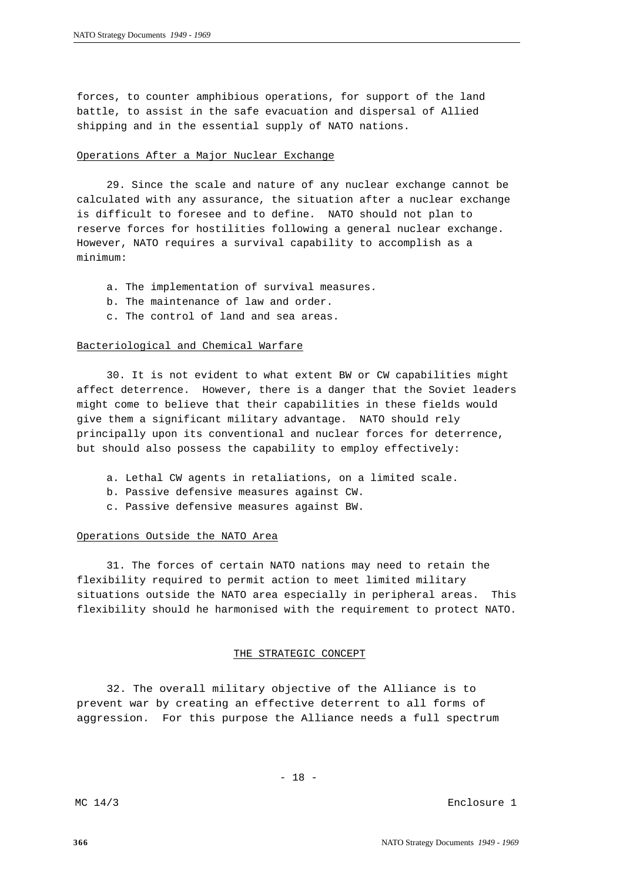forces, to counter amphibious operations, for support of the land battle, to assist in the safe evacuation and dispersal of Allied shipping and in the essential supply of NATO nations.

#### Operations After a Major Nuclear Exchange

29. Since the scale and nature of any nuclear exchange cannot be calculated with any assurance, the situation after a nuclear exchange is difficult to foresee and to define. NATO should not plan to reserve forces for hostilities following a general nuclear exchange. However, NATO requires a survival capability to accomplish as a minimum:

- a. The implementation of survival measures.
- b. The maintenance of law and order.
- c. The control of land and sea areas.

#### Bacteriological and Chemical Warfare

30. It is not evident to what extent BW or CW capabilities might affect deterrence. However, there is a danger that the Soviet leaders might come to believe that their capabilities in these fields would give them a significant military advantage. NATO should rely principally upon its conventional and nuclear forces for deterrence, but should also possess the capability to employ effectively:

- a. Lethal CW agents in retaliations, on a limited scale.
- b. Passive defensive measures against CW.
- c. Passive defensive measures against BW.

#### Operations Outside the NATO Area

31. The forces of certain NATO nations may need to retain the flexibility required to permit action to meet limited military situations outside the NATO area especially in peripheral areas. This flexibility should he harmonised with the requirement to protect NATO.

#### THE STRATEGIC CONCEPT

32. The overall military objective of the Alliance is to prevent war by creating an effective deterrent to all forms of aggression. For this purpose the Alliance needs a full spectrum

- 18 -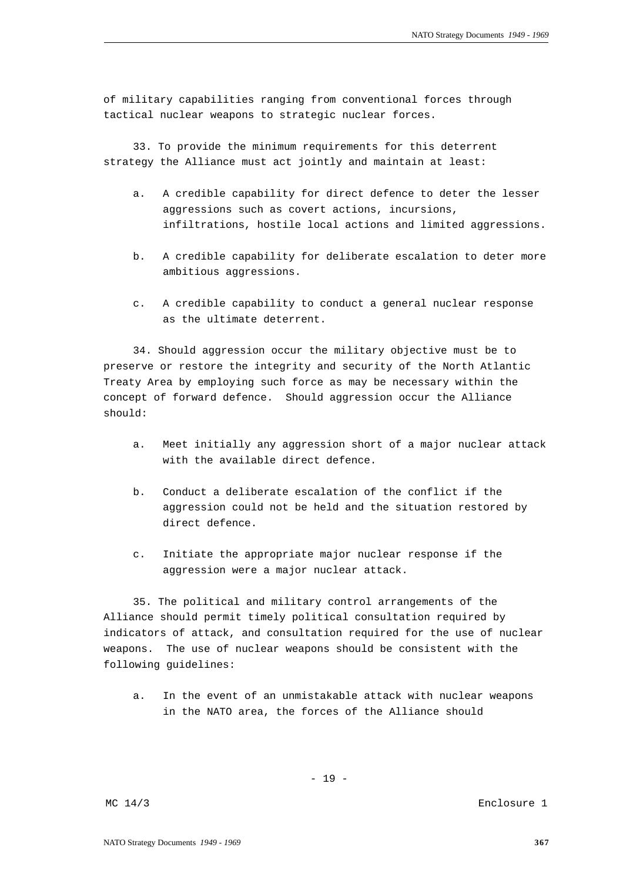of military capabilities ranging from conventional forces through tactical nuclear weapons to strategic nuclear forces.

33. To provide the minimum requirements for this deterrent strategy the Alliance must act jointly and maintain at least:

- a. A credible capability for direct defence to deter the lesser aggressions such as covert actions, incursions, infiltrations, hostile local actions and limited aggressions.
- b. A credible capability for deliberate escalation to deter more ambitious aggressions.
- c. A credible capability to conduct a general nuclear response as the ultimate deterrent.

34. Should aggression occur the military objective must be to preserve or restore the integrity and security of the North Atlantic Treaty Area by employing such force as may be necessary within the concept of forward defence. Should aggression occur the Alliance should:

- a. Meet initially any aggression short of a major nuclear attack with the available direct defence.
- b. Conduct a deliberate escalation of the conflict if the aggression could not be held and the situation restored by direct defence.
- c. Initiate the appropriate major nuclear response if the aggression were a major nuclear attack.

35. The political and military control arrangements of the Alliance should permit timely political consultation required by indicators of attack, and consultation required for the use of nuclear weapons. The use of nuclear weapons should be consistent with the following guidelines:

a. In the event of an unmistakable attack with nuclear weapons in the NATO area, the forces of the Alliance should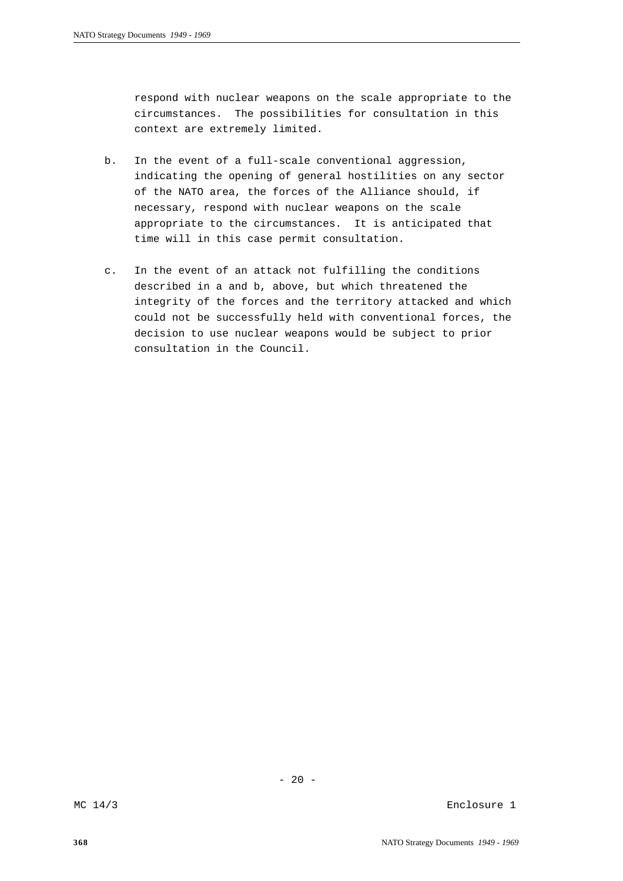respond with nuclear weapons on the scale appropriate to the circumstances. The possibilities for consultation in this context are extremely limited.

- b. In the event of a full-scale conventional aggression, indicating the opening of general hostilities on any sector of the NATO area, the forces of the Alliance should, if necessary, respond with nuclear weapons on the scale appropriate to the circumstances. It is anticipated that time will in this case permit consultation.
- c. In the event of an attack not fulfilling the conditions described in a and b, above, but which threatened the integrity of the forces and the territory attacked and which could not be successfully held with conventional forces, the decision to use nuclear weapons would be subject to prior consultation in the Council.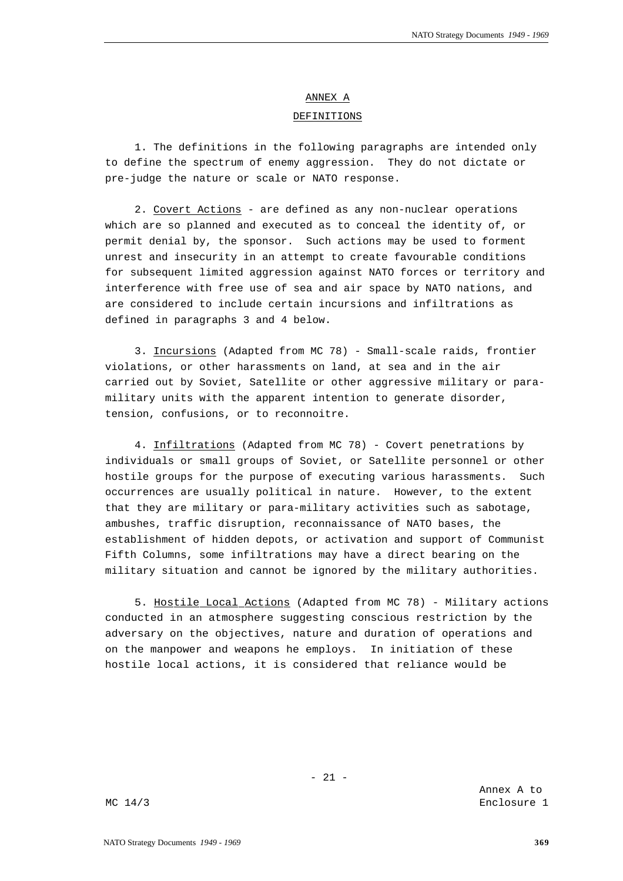### ANNEX A

#### DEFINITIONS

1. The definitions in the following paragraphs are intended only to define the spectrum of enemy aggression. They do not dictate or pre-judge the nature or scale or NATO response.

2. Covert Actions - are defined as any non-nuclear operations which are so planned and executed as to conceal the identity of, or permit denial by, the sponsor. Such actions may be used to forment unrest and insecurity in an attempt to create favourable conditions for subsequent limited aggression against NATO forces or territory and interference with free use of sea and air space by NATO nations, and are considered to include certain incursions and infiltrations as defined in paragraphs 3 and 4 below.

3. Incursions (Adapted from MC 78) - Small-scale raids, frontier violations, or other harassments on land, at sea and in the air carried out by Soviet, Satellite or other aggressive military or paramilitary units with the apparent intention to generate disorder, tension, confusions, or to reconnoitre.

4. Infiltrations (Adapted from MC 78) - Covert penetrations by individuals or small groups of Soviet, or Satellite personnel or other hostile groups for the purpose of executing various harassments. Such occurrences are usually political in nature. However, to the extent that they are military or para-military activities such as sabotage, ambushes, traffic disruption, reconnaissance of NATO bases, the establishment of hidden depots, or activation and support of Communist Fifth Columns, some infiltrations may have a direct bearing on the military situation and cannot be ignored by the military authorities.

5. Hostile Local Actions (Adapted from MC 78) - Military actions conducted in an atmosphere suggesting conscious restriction by the adversary on the objectives, nature and duration of operations and on the manpower and weapons he employs. In initiation of these hostile local actions, it is considered that reliance would be

Annex A to MC 14/3 Enclosure 1